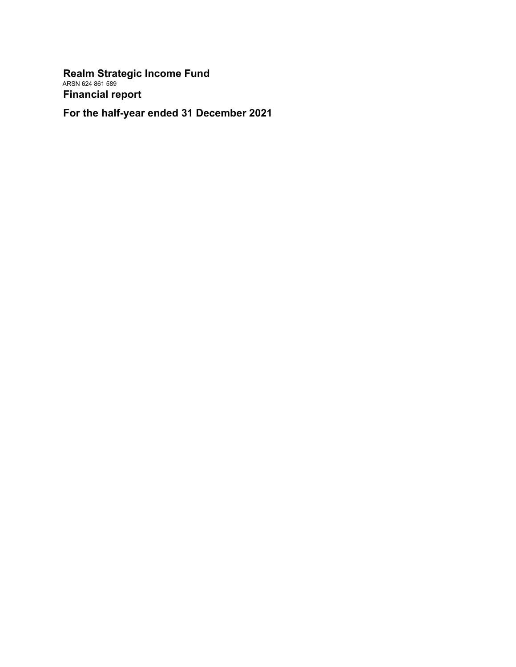**Realm Strategic Income Fund** ARSN 624 861 589 **Financial report**

**For the half-year ended 31 December 2021**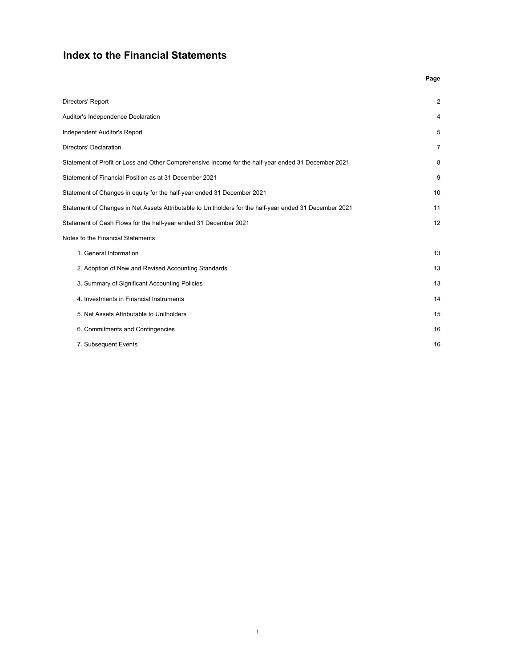### **Index to the Financial Statements**

|                                                                                                         | Page           |
|---------------------------------------------------------------------------------------------------------|----------------|
| Directors' Report                                                                                       | 2              |
| Auditor's Independence Declaration                                                                      | 4              |
| Independent Auditor's Report                                                                            | 5              |
| Directors' Declaration                                                                                  | $\overline{7}$ |
| Statement of Profit or Loss and Other Comprehensive Income for the half-year ended 31 December 2021     | 8              |
| Statement of Financial Position as at 31 December 2021                                                  | 9              |
| Statement of Changes in equity for the half-year ended 31 December 2021                                 | 10             |
| Statement of Changes in Net Assets Attributable to Unitholders for the half-year ended 31 December 2021 | 11             |
| Statement of Cash Flows for the half-year ended 31 December 2021                                        | 12             |
| Notes to the Financial Statements                                                                       |                |
| 1. General Information                                                                                  | 13             |
| 2. Adoption of New and Revised Accounting Standards                                                     | 13             |
| 3. Summary of Significant Accounting Policies                                                           | 13             |
| 4. Investments in Financial Instruments                                                                 | 14             |
| 5. Net Assets Attributable to Unitholders                                                               | 15             |
| 6. Commitments and Contingencies                                                                        | 16             |
| 7. Subsequent Events                                                                                    | 16             |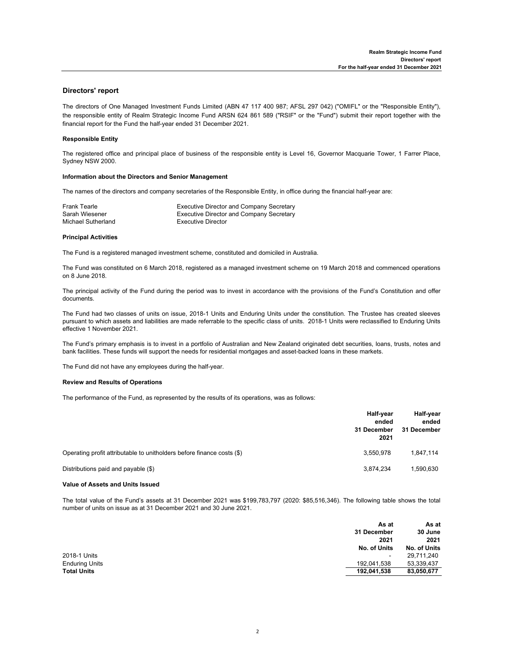#### **Directors' report**

The directors of One Managed Investment Funds Limited (ABN 47 117 400 987; AFSL 297 042) ("OMIFL" or the "Responsible Entity"), the responsible entity of Realm Strategic Income Fund ARSN 624 861 589 ("RSIF" or the "Fund") submit their report together with the financial report for the Fund the half-year ended 31 December 2021.

#### **Responsible Entity**

The registered office and principal place of business of the responsible entity is Level 16, Governor Macquarie Tower, 1 Farrer Place, Sydney NSW 2000.

#### **Information about the Directors and Senior Management**

The names of the directors and company secretaries of the Responsible Entity, in office during the financial half-year are:

| Frank Tearle       | Executive Director and Company Secretary        |
|--------------------|-------------------------------------------------|
| Sarah Wiesener     | <b>Executive Director and Company Secretary</b> |
| Michael Sutherland | Executive Director                              |

#### **Principal Activities**

The Fund is a registered managed investment scheme, constituted and domiciled in Australia.

The Fund was constituted on 6 March 2018, registered as a managed investment scheme on 19 March 2018 and commenced operations on 8 June 2018.

The principal activity of the Fund during the period was to invest in accordance with the provisions of the Fund's Constitution and offer documents.

The Fund had two classes of units on issue, 2018-1 Units and Enduring Units under the constitution. The Trustee has created sleeves pursuant to which assets and liabilities are made referrable to the specific class of units. 2018-1 Units were reclassified to Enduring Units effective 1 November 2021.

The Fund's primary emphasis is to invest in a portfolio of Australian and New Zealand originated debt securities, loans, trusts, notes and bank facilities. These funds will support the needs for residential mortgages and asset-backed loans in these markets.

The Fund did not have any employees during the half-year.

#### **Review and Results of Operations**

The performance of the Fund, as represented by the results of its operations, was as follows:

|                                                                        | Half-year<br>ended<br>31 December<br>2021 | Half-year<br>ended<br>31 December |
|------------------------------------------------------------------------|-------------------------------------------|-----------------------------------|
| Operating profit attributable to unitholders before finance costs (\$) | 3.550.978                                 | 1.847.114                         |
| Distributions paid and payable (\$)                                    | 3.874.234                                 | 1,590,630                         |

#### **Value of Assets and Units Issued**

The total value of the Fund's assets at 31 December 2021 was \$199,783,797 (2020: \$85,516,346). The following table shows the total number of units on issue as at 31 December 2021 and 30 June 2021.

|                       | As at          | As at        |
|-----------------------|----------------|--------------|
|                       | 31 December    | 30 June      |
|                       | 2021           | 2021         |
|                       | No. of Units   | No. of Units |
| 2018-1 Units          | $\blacksquare$ | 29.711.240   |
| <b>Enduring Units</b> | 192.041.538    | 53,339,437   |
| <b>Total Units</b>    | 192,041,538    | 83,050,677   |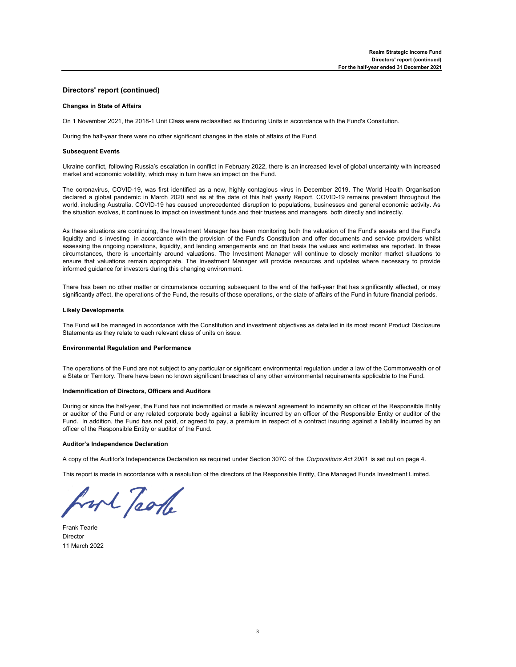#### **Directors' report (continued)**

#### **Changes in State of Affairs**

On 1 November 2021, the 2018-1 Unit Class were reclassified as Enduring Units in accordance with the Fund's Consitution.

During the half-year there were no other significant changes in the state of affairs of the Fund.

#### **Subsequent Events**

Ukraine conflict, following Russia's escalation in conflict in February 2022, there is an increased level of global uncertainty with increased market and economic volatility, which may in turn have an impact on the Fund.

The coronavirus, COVID-19, was first identified as a new, highly contagious virus in December 2019. The World Health Organisation declared a global pandemic in March 2020 and as at the date of this half yearly Report, COVID-19 remains prevalent throughout the world, including Australia. COVID-19 has caused unprecedented disruption to populations, businesses and general economic activity. As the situation evolves, it continues to impact on investment funds and their trustees and managers, both directly and indirectly.

As these situations are continuing, the Investment Manager has been monitoring both the valuation of the Fund's assets and the Fund's liquidity and is investing in accordance with the provision of the Fund's Constitution and offer documents and service providers whilst assessing the ongoing operations, liquidity, and lending arrangements and on that basis the values and estimates are reported. In these circumstances, there is uncertainty around valuations. The Investment Manager will continue to closely monitor market situations to ensure that valuations remain appropriate. The Investment Manager will provide resources and updates where necessary to provide informed guidance for investors during this changing environment.

There has been no other matter or circumstance occurring subsequent to the end of the half-year that has significantly affected, or may significantly affect, the operations of the Fund, the results of those operations, or the state of affairs of the Fund in future financial periods.

#### **Likely Developments**

The Fund will be managed in accordance with the Constitution and investment objectives as detailed in its most recent Product Disclosure Statements as they relate to each relevant class of units on issue.

#### **Environmental Regulation and Performance**

The operations of the Fund are not subject to any particular or significant environmental regulation under a law of the Commonwealth or of a State or Territory. There have been no known significant breaches of any other environmental requirements applicable to the Fund.

#### **Indemnification of Directors, Officers and Auditors**

During or since the half-year, the Fund has not indemnified or made a relevant agreement to indemnify an officer of the Responsible Entity or auditor of the Fund or any related corporate body against a liability incurred by an officer of the Responsible Entity or auditor of the Fund. In addition, the Fund has not paid, or agreed to pay, a premium in respect of a contract insuring against a liability incurred by an officer of the Responsible Entity or auditor of the Fund.

#### **Auditor's Independence Declaration**

A copy of the Auditor's Independence Declaration as required under Section 307C of the *Corporations Act 2001* is set out on page 4.

This report is made in accordance with a resolution of the directors of the Responsible Entity, One Managed Funds Investment Limited.

hort Took

Frank Tearle Director 11 March 2022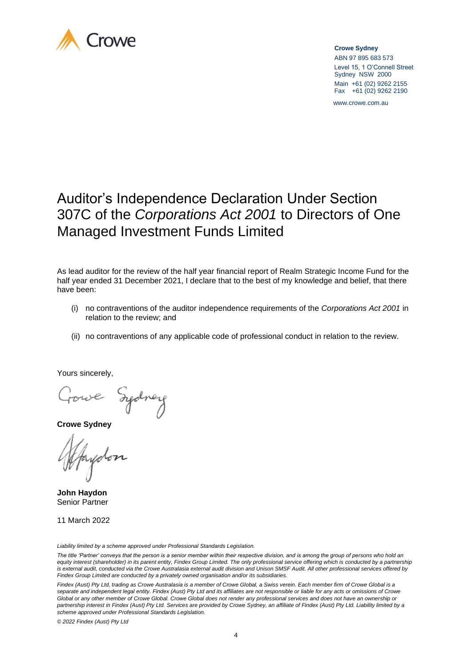

 **Crowe Sydney**

 ABN 97 895 683 573 Level 15, 1 O'Connell Street Sydney NSW 2000 Main +61 (02) 9262 2155 Fax +61 (02) 9262 2190

www.crowe.com.au

# Auditor's Independence Declaration Under Section 307C of the *Corporations Act 2001* to Directors of One Managed Investment Funds Limited

As lead auditor for the review of the half year financial report of Realm Strategic Income Fund for the half year ended 31 December 2021, I declare that to the best of my knowledge and belief, that there have been:

- (i) no contraventions of the auditor independence requirements of the *Corporations Act 2001* in relation to the review; and
- (ii) no contraventions of any applicable code of professional conduct in relation to the review.

Yours sincerely,

Gowe Izelney

**Crowe Sydney**

**John Haydon** Senior Partner

11 March 2022

*Liability limited by a scheme approved under Professional Standards Legislation.*

*The title 'Partner' conveys that the person is a senior member within their respective division, and is among the group of persons who hold an*  equity interest (shareholder) in its parent entity, Findex Group Limited. The only professional service offering which is conducted by a partnership *is external audit, conducted via the Crowe Australasia external audit division and Unison SMSF Audit. All other professional services offered by Findex Group Limited are conducted by a privately owned organisation and/or its subsidiaries.*

*Findex (Aust) Pty Ltd, trading as Crowe Australasia is a member of Crowe Global, a Swiss verein. Each member firm of Crowe Global is a separate and independent legal entity. Findex (Aust) Pty Ltd and its affiliates are not responsible or liable for any acts or omissions of Crowe Global or any other member of Crowe Global. Crowe Global does not render any professional services and does not have an ownership or*  partnership interest in Findex (Aust) Pty Ltd. Services are provided by Crowe Sydney, an affiliate of Findex (Aust) Pty Ltd. Liability limited by a *scheme approved under Professional Standards Legislation.*

*© 2022 Findex (Aust) Pty Ltd*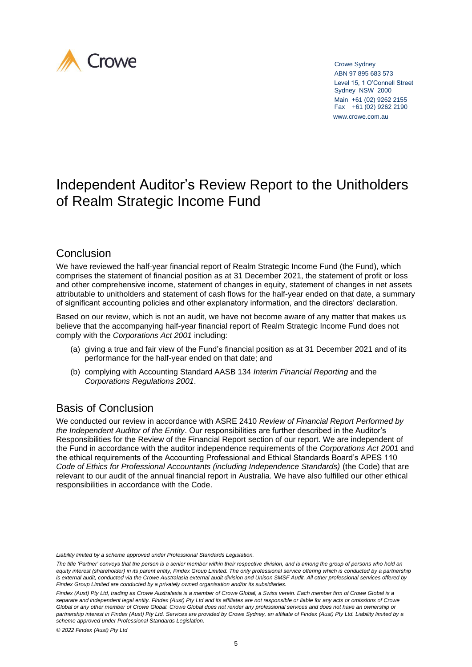

 Crowe Sydney ABN 97 895 683 573 Level 15, 1 O'Connell Street Sydney NSW 2000 Main +61 (02) 9262 2155 Fax +61 (02) 9262 2190 www.crowe.com.au

# Independent Auditor's Review Report to the Unitholders of Realm Strategic Income Fund

### Conclusion

We have reviewed the half-year financial report of Realm Strategic Income Fund (the Fund), which comprises the statement of financial position as at 31 December 2021, the statement of profit or loss and other comprehensive income, statement of changes in equity, statement of changes in net assets attributable to unitholders and statement of cash flows for the half-year ended on that date, a summary of significant accounting policies and other explanatory information, and the directors' declaration.

Based on our review, which is not an audit, we have not become aware of any matter that makes us believe that the accompanying half-year financial report of Realm Strategic Income Fund does not comply with the *Corporations Act 2001* including:

- (a) giving a true and fair view of the Fund's financial position as at 31 December 2021 and of its performance for the half-year ended on that date; and
- (b) complying with Accounting Standard AASB 134 *Interim Financial Reporting* and the *Corporations Regulations 2001*.

## Basis of Conclusion

We conducted our review in accordance with ASRE 2410 *Review of Financial Report Performed by the Independent Auditor of the Entity*. Our responsibilities are further described in the Auditor's Responsibilities for the Review of the Financial Report section of our report. We are independent of the Fund in accordance with the auditor independence requirements of the *Corporations Act 2001* and the ethical requirements of the Accounting Professional and Ethical Standards Board's APES 110 *Code of Ethics for Professional Accountants (including Independence Standards)* (the Code) that are relevant to our audit of the annual financial report in Australia. We have also fulfilled our other ethical responsibilities in accordance with the Code.

*Liability limited by a scheme approved under Professional Standards Legislation.*

*The title 'Partner' conveys that the person is a senior member within their respective division, and is among the group of persons who hold an*  equity interest (shareholder) in its parent entity, Findex Group Limited. The only professional service offering which is conducted by a partnership is external audit, conducted via the Crowe Australasia external audit division and Unison SMSF Audit. All other professional services offered by *Findex Group Limited are conducted by a privately owned organisation and/or its subsidiaries.*

Findex (Aust) Pty Ltd, trading as Crowe Australasia is a member of Crowe Global, a Swiss verein. Each member firm of Crowe Global is a *separate and independent legal entity. Findex (Aust) Pty Ltd and its affiliates are not responsible or liable for any acts or omissions of Crowe Global or any other member of Crowe Global. Crowe Global does not render any professional services and does not have an ownership or*  partnership interest in Findex (Aust) Pty Ltd. Services are provided by Crowe Sydney, an affiliate of Findex (Aust) Pty Ltd. Liability limited by a *scheme approved under Professional Standards Legislation.*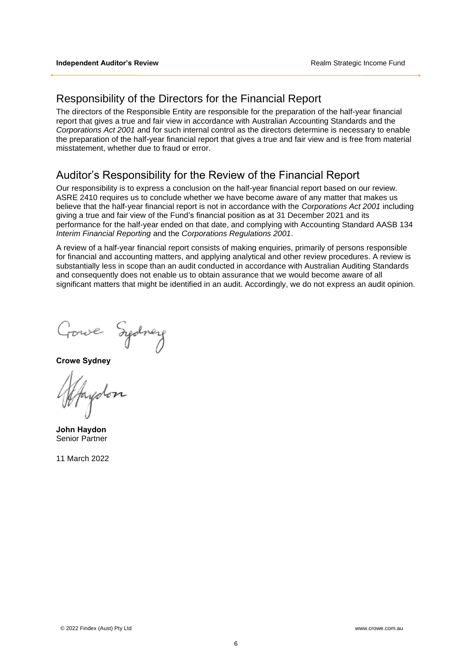### Responsibility of the Directors for the Financial Report

The directors of the Responsible Entity are responsible for the preparation of the half-year financial report that gives a true and fair view in accordance with Australian Accounting Standards and the *Corporations Act 2001* and for such internal control as the directors determine is necessary to enable the preparation of the half-year financial report that gives a true and fair view and is free from material misstatement, whether due to fraud or error.

## Auditor's Responsibility for the Review of the Financial Report

Our responsibility is to express a conclusion on the half-year financial report based on our review. ASRE 2410 requires us to conclude whether we have become aware of any matter that makes us believe that the half-year financial report is not in accordance with the *Corporations Act 2001* including giving a true and fair view of the Fund's financial position as at 31 December 2021 and its performance for the half-year ended on that date, and complying with Accounting Standard AASB 134 *Interim Financial Reporting* and the *Corporations Regulations 2001*.

A review of a half-year financial report consists of making enquiries, primarily of persons responsible for financial and accounting matters, and applying analytical and other review procedures. A review is substantially less in scope than an audit conducted in accordance with Australian Auditing Standards and consequently does not enable us to obtain assurance that we would become aware of all significant matters that might be identified in an audit. Accordingly, we do not express an audit opinion.

Gowe Sydney

**Crowe Sydney**

ydon

**John Haydon** Senior Partner

11 March 2022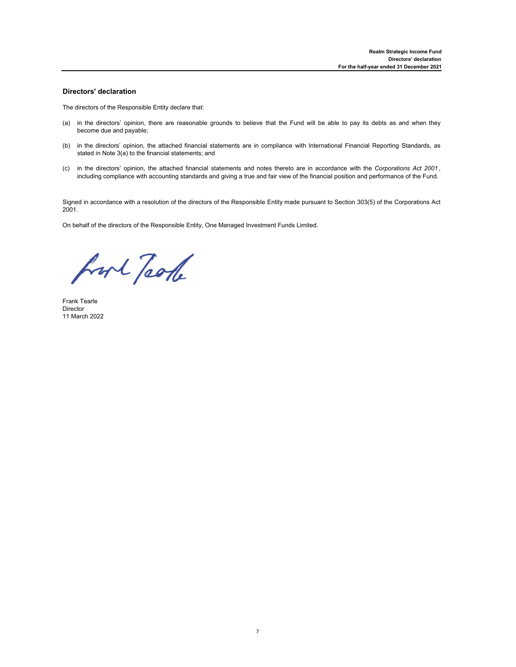#### **Directors' declaration**

The directors of the Responsible Entity declare that:

- (a) in the directors' opinion, there are reasonable grounds to believe that the Fund will be able to pay its debts as and when they become due and payable;
- (b) in the directors' opinion, the attached financial statements are in compliance with International Financial Reporting Standards, as stated in Note 3(a) to the financial statements; and
- (c) in the directors' opinion, the attached financial statements and notes thereto are in accordance with the *Corporations Act 2001* , including compliance with accounting standards and giving a true and fair view of the financial position and performance of the Fund.

Signed in accordance with a resolution of the directors of the Responsible Entity made pursuant to Section 303(5) of the Corporations Act 2001.

On behalf of the directors of the Responsible Entity, One Managed Investment Funds Limited.

fort Took

Frank Tearle Director 11 March 2022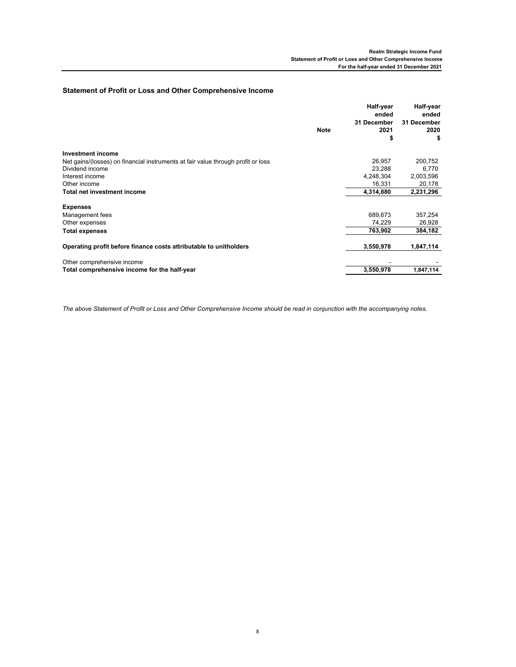### **Statement of Profit or Loss and Other Comprehensive Income**

|                                                                                  |      | Half-year<br>ended | Half-year<br>ended |
|----------------------------------------------------------------------------------|------|--------------------|--------------------|
|                                                                                  |      | 31 December        | 31 December        |
|                                                                                  | Note | 2021               | 2020               |
|                                                                                  |      | \$                 | \$                 |
| <b>Investment income</b>                                                         |      |                    |                    |
| Net gains/(losses) on financial instruments at fair value through profit or loss |      | 26,957             | 200,752            |
| Dividend income                                                                  |      | 23,288             | 6,770              |
| Interest income                                                                  |      | 4,248,304          | 2,003,596          |
| Other income                                                                     |      | 16,331             | 20,178             |
| Total net investment income                                                      |      | 4,314,880          | 2,231,296          |
| <b>Expenses</b>                                                                  |      |                    |                    |
| Management fees                                                                  |      | 689,673            | 357,254            |
| Other expenses                                                                   |      | 74,229             | 26,928             |
| Total expenses                                                                   |      | 763,902            | 384,182            |
| Operating profit before finance costs attributable to unitholders                |      | 3,550,978          | 1,847,114          |
| Other comprehensive income                                                       |      |                    |                    |
| Total comprehensive income for the half-year                                     |      | 3,550,978          | 1,847,114          |

*The above Statement of Profit or Loss and Other Comprehensive Income should be read in conjunction with the accompanying notes.*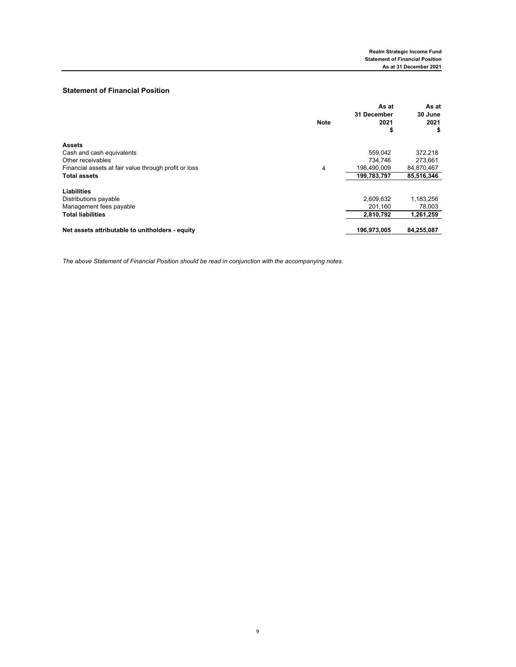### **Statement of Financial Position**

|                                                       | <b>Note</b> | As at<br><b>31 December</b><br>2021 | As at<br>30 June<br>2021 |
|-------------------------------------------------------|-------------|-------------------------------------|--------------------------|
|                                                       |             | \$                                  | \$                       |
| <b>Assets</b>                                         |             |                                     |                          |
| Cash and cash equivalents                             |             | 559.042                             | 372,218                  |
| Other receivables                                     |             | 734.746                             | 273,661                  |
| Financial assets at fair value through profit or loss | 4           | 198.490.009                         | 84,870,467               |
| <b>Total assets</b>                                   |             | 199,783,797                         | 85,516,346               |
| Liabilities                                           |             |                                     |                          |
| Distributions payable                                 |             | 2,609,632                           | 1,183,256                |
| Management fees payable                               |             | 201,160                             | 78,003                   |
| <b>Total liabilities</b>                              |             | 2,810,792                           | 1,261,259                |
| Net assets attributable to unitholders - equity       |             | 196,973,005                         | 84,255,087               |

*The above Statement of Financial Position should be read in conjunction with the accompanying notes.*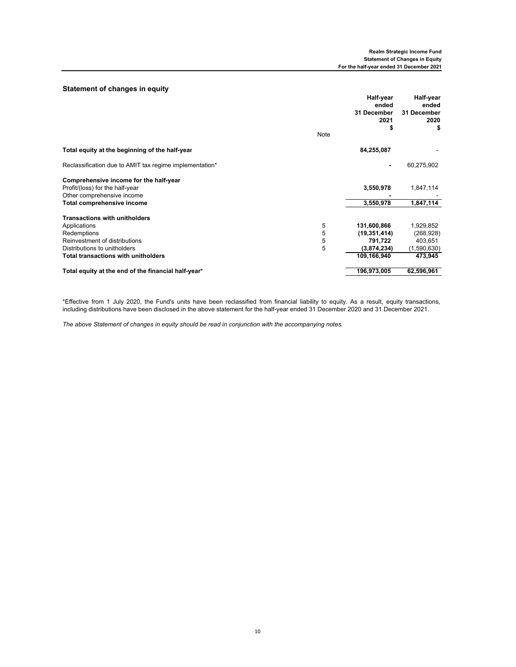#### **Statement of changes in equity**

| olalomont or changes in equity                                                                          | Note | Half-year<br>ended<br>31 December<br>2021<br>S | Half-year<br>ended<br>31 December<br>2020<br>s |
|---------------------------------------------------------------------------------------------------------|------|------------------------------------------------|------------------------------------------------|
| Total equity at the beginning of the half-year                                                          |      | 84,255,087                                     |                                                |
| Reclassification due to AMIT tax regime implementation*                                                 |      | ٠                                              | 60,275,902                                     |
| Comprehensive income for the half-year<br>Profit/(loss) for the half-year<br>Other comprehensive income |      | 3,550,978                                      | 1,847,114                                      |
| Total comprehensive income                                                                              |      | 3,550,978                                      | 1,847,114                                      |
| <b>Transactions with unitholders</b>                                                                    |      |                                                |                                                |
| Applications                                                                                            | 5    | 131,600,866                                    | 1,929,852                                      |
| Redemptions                                                                                             | 5    | (19, 351, 414)                                 | (268, 928)                                     |
| Reinvestment of distributions                                                                           | 5    | 791,722                                        | 403,651                                        |
| Distributions to unitholders                                                                            | 5    | (3,874,234)                                    | (1,590,630)                                    |
| <b>Total transactions with unitholders</b>                                                              |      | 109,166,940                                    | 473,945                                        |
| Total equity at the end of the financial half-year*                                                     |      | 196,973,005                                    | 62,596,961                                     |

\*Effective from 1 July 2020, the Fund's units have been reclassified from financial liability to equity. As a result, equity transactions, including distributions have been disclosed in the above statement for the half-year ended 31 December 2020 and 31 December 2021.

*The above Statement of changes in equity should be read in conjunction with the accompanying notes.*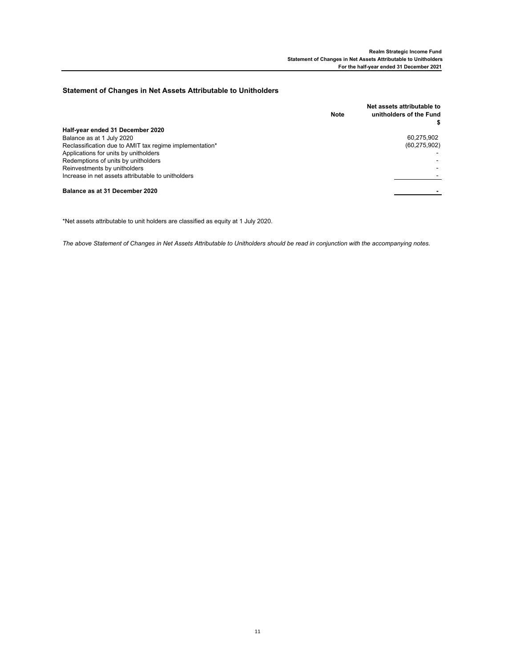#### **Statement of Changes in Net Assets Attributable to Unitholders**

|                                                         | <b>Note</b> | Net assets attributable to<br>unitholders of the Fund |
|---------------------------------------------------------|-------------|-------------------------------------------------------|
| Half-year ended 31 December 2020                        |             |                                                       |
| Balance as at 1 July 2020                               |             | 60,275,902                                            |
| Reclassification due to AMIT tax regime implementation* |             | (60, 275, 902)                                        |
| Applications for units by unitholders                   |             |                                                       |
| Redemptions of units by unitholders                     |             |                                                       |
| Reinvestments by unitholders                            |             |                                                       |
| Increase in net assets attributable to unitholders      |             |                                                       |
| Balance as at 31 December 2020                          |             |                                                       |

\*Net assets attributable to unit holders are classified as equity at 1 July 2020.

*The above Statement of Changes in Net Assets Attributable to Unitholders should be read in conjunction with the accompanying notes.*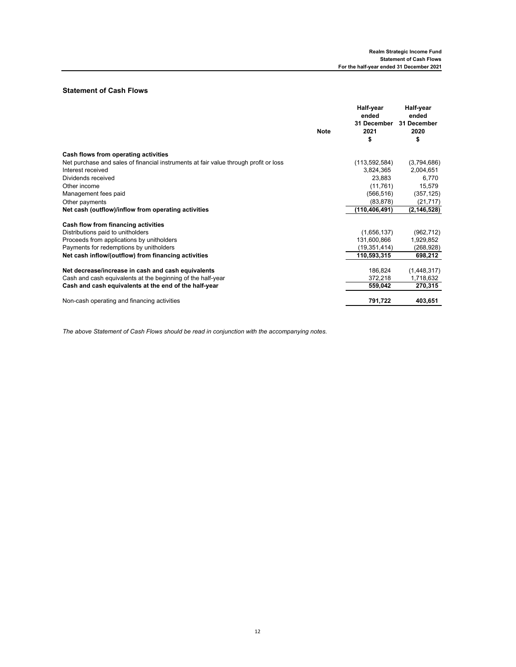### **Statement of Cash Flows**

|                                                                                      | <b>Note</b> | Half-year<br>ended<br>31 December<br>2021<br>\$ | Half-year<br>ended<br>31 December<br>2020<br>\$ |
|--------------------------------------------------------------------------------------|-------------|-------------------------------------------------|-------------------------------------------------|
| Cash flows from operating activities                                                 |             |                                                 |                                                 |
| Net purchase and sales of financial instruments at fair value through profit or loss |             | (113, 592, 584)                                 | (3,794,686)                                     |
| Interest received                                                                    |             | 3,824,365                                       | 2,004,651                                       |
| Dividends received                                                                   |             | 23,883                                          | 6,770                                           |
| Other income                                                                         |             | (11, 761)                                       | 15,579                                          |
| Management fees paid                                                                 |             | (566, 516)                                      | (357, 125)                                      |
| Other payments                                                                       |             | (83, 878)                                       | (21, 717)                                       |
| Net cash (outflow)/inflow from operating activities                                  |             | (110,406,491)                                   | (2, 146, 528)                                   |
| Cash flow from financing activities                                                  |             |                                                 |                                                 |
| Distributions paid to unitholders                                                    |             | (1,656,137)                                     | (962, 712)                                      |
| Proceeds from applications by unitholders                                            |             | 131,600,866                                     | 1,929,852                                       |
| Payments for redemptions by unitholders                                              |             | (19, 351, 414)                                  | (268, 928)                                      |
| Net cash inflow/(outflow) from financing activities                                  |             | 110,593,315                                     | 698,212                                         |
| Net decrease/increase in cash and cash equivalents                                   |             | 186,824                                         | (1,448,317)                                     |
| Cash and cash equivalents at the beginning of the half-year                          |             | 372,218                                         | 1,718,632                                       |
| Cash and cash equivalents at the end of the half-year                                |             | 559,042                                         | 270,315                                         |
| Non-cash operating and financing activities                                          |             | 791,722                                         | 403,651                                         |

*The above Statement of Cash Flows should be read in conjunction with the accompanying notes.*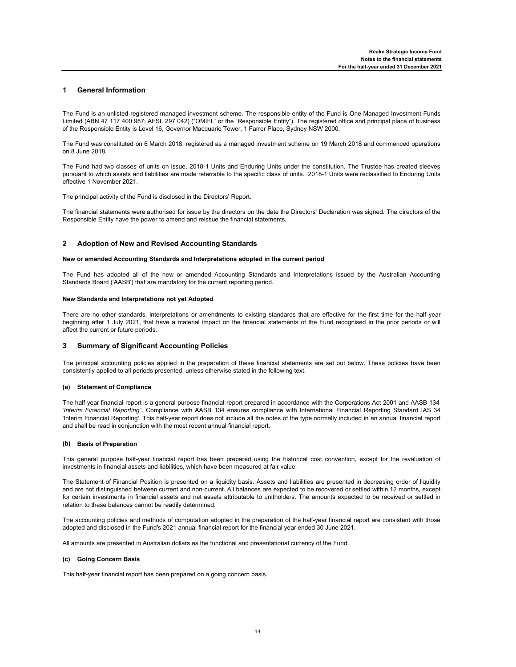#### **1 General Information**

The Fund is an unlisted registered managed investment scheme. The responsible entity of the Fund is One Managed Investment Funds Limited (ABN 47 117 400 987; AFSL 297 042) ("OMIFL" or the "Responsible Entity"). The registered office and principal place of business of the Responsible Entity is Level 16, Governor Macquarie Tower, 1 Farrer Place, Sydney NSW 2000.

The Fund was constituted on 6 March 2018, registered as a managed investment scheme on 19 March 2018 and commenced operations on 8 June 2018.

The Fund had two classes of units on issue, 2018-1 Units and Enduring Units under the constitution. The Trustee has created sleeves pursuant to which assets and liabilities are made referrable to the specific class of units. 2018-1 Units were reclassified to Enduring Units effective 1 November 2021.

The principal activity of the Fund is disclosed in the Directors' Report.

The financial statements were authorised for issue by the directors on the date the Directors' Declaration was signed. The directors of the Responsible Entity have the power to amend and reissue the financial statements.

#### **2 Adoption of New and Revised Accounting Standards**

#### **New or amended Accounting Standards and Interpretations adopted in the current period**

The Fund has adopted all of the new or amended Accounting Standards and Interpretations issued by the Australian Accounting Standards Board ('AASB') that are mandatory for the current reporting period.

#### **New Standards and Interpretations not yet Adopted**

There are no other standards, interpretations or amendments to existing standards that are effective for the first time for the half year beginning after 1 July 2021, that have a material impact on the financial statements of the Fund recognised in the prior periods or will affect the current or future periods.

#### **3 Summary of Significant Accounting Policies**

The principal accounting policies applied in the preparation of these financial statements are set out below. These policies have been consistently applied to all periods presented, unless otherwise stated in the following text.

#### **(a) Statement of Compliance**

The half-year financial report is a general purpose financial report prepared in accordance with the Corporations Act 2001 and AASB 134 '*Interim Financial Reporting* '. Compliance with AASB 134 ensures compliance with International Financial Reporting Standard IAS 34 'Interim Financial Reporting'. This half-year report does not include all the notes of the type normally included in an annual financial report and shall be read in conjunction with the most recent annual financial report.

#### **(b) Basis of Preparation**

This general purpose half-year financial report has been prepared using the historical cost convention, except for the revaluation of investments in financial assets and liabilities, which have been measured at fair value.

The Statement of Financial Position is presented on a liquidity basis. Assets and liabilities are presented in decreasing order of liquidity and are not distinguished between current and non-current. All balances are expected to be recovered or settled within 12 months, except for certain investments in financial assets and net assets attributable to unitholders. The amounts expected to be received or settled in relation to these balances cannot be readily determined.

The accounting policies and methods of computation adopted in the preparation of the half-year financial report are consistent with those adopted and disclosed in the Fund's 2021 annual financial report for the financial year ended 30 June 2021.

All amounts are presented in Australian dollars as the functional and presentational currency of the Fund.

#### **(c) Going Concern Basis**

This half-year financial report has been prepared on a going concern basis.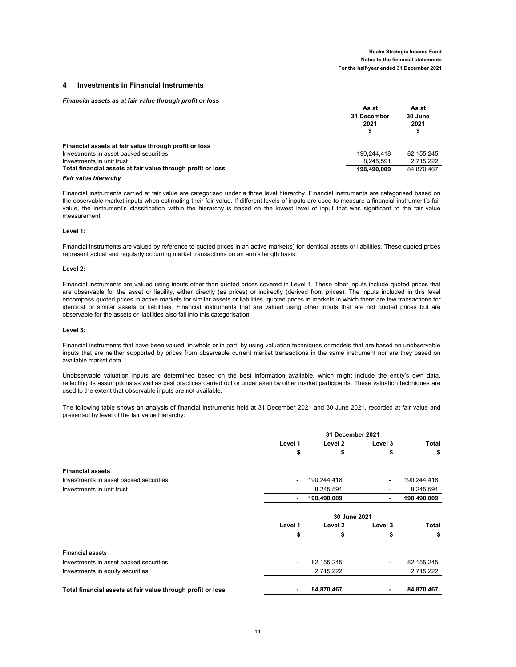#### **4 Investments in Financial Instruments**

#### *Financial assets as at fair value through profit or loss*

|                                                             | As at<br>31 December<br>2021 | As at<br>30 June<br>2021<br>\$ |
|-------------------------------------------------------------|------------------------------|--------------------------------|
| Financial assets at fair value through profit or loss       |                              |                                |
| Investments in asset backed securities                      | 190.244.418                  | 82.155.245                     |
| Investments in unit trust                                   | 8.245.591                    | 2.715.222                      |
| Total financial assets at fair value through profit or loss | 198.490.009                  | 84.870.467                     |

*Fair value hierarchy*

Financial instruments carried at fair value are categorised under a three level hierarchy. Financial instruments are categorised based on the observable market inputs when estimating their fair value. If different levels of inputs are used to measure a financial instrument's fair value, the instrument's classification within the hierarchy is based on the lowest level of input that was significant to the fair value measurement.

#### **Level 1:**

Financial instruments are valued by reference to quoted prices in an active market(s) for identical assets or liabilities. These quoted prices represent actual and regularly occurring market transactions on an arm's length basis.

#### **Level 2:**

Financial instruments are valued using inputs other than quoted prices covered in Level 1. These other inputs include quoted prices that are observable for the asset or liability, either directly (as prices) or indirectly (derived from prices). The inputs included in this level encompass quoted prices in active markets for similar assets or liabilities, quoted prices in markets in which there are few transactions for identical or similar assets or liabilities. Financial instruments that are valued using other inputs that are not quoted prices but are observable for the assets or liabilities also fall into this categorisation.

#### **Level 3:**

Financial instruments that have been valued, in whole or in part, by using valuation techniques or models that are based on unobservable inputs that are neither supported by prices from observable current market transactions in the same instrument nor are they based on available market data.

Unobservable valuation inputs are determined based on the best information available, which might include the entity's own data, reflecting its assumptions as well as best practices carried out or undertaken by other market participants. These valuation techniques are used to the extent that observable inputs are not available.

The following table shows an analysis of financial instruments held at 31 December 2021 and 30 June 2021, recorded at fair value and presented by level of the fair value hierarchy:

|                                                             | 31 December 2021 |              |         |              |
|-------------------------------------------------------------|------------------|--------------|---------|--------------|
|                                                             | Level 1          | Level 2      | Level 3 | Total        |
|                                                             | \$               | s            | S       | \$           |
| <b>Financial assets</b>                                     |                  |              |         |              |
| Investments in asset backed securities                      |                  | 190,244,418  |         | 190,244,418  |
| Investments in unit trust                                   |                  | 8,245,591    |         | 8,245,591    |
|                                                             | -                | 198,490,009  | ٠       | 198,490,009  |
|                                                             |                  | 30 June 2021 |         |              |
|                                                             | Level 1          | Level 2      | Level 3 | Total        |
|                                                             | \$               | s            | S       | \$           |
| <b>Financial assets</b>                                     |                  |              |         |              |
| Investments in asset backed securities                      |                  | 82,155,245   | -       | 82, 155, 245 |
| Investments in equity securities                            |                  | 2,715,222    |         | 2,715,222    |
| Total financial assets at fair value through profit or loss |                  | 84,870,467   | ٠       | 84,870,467   |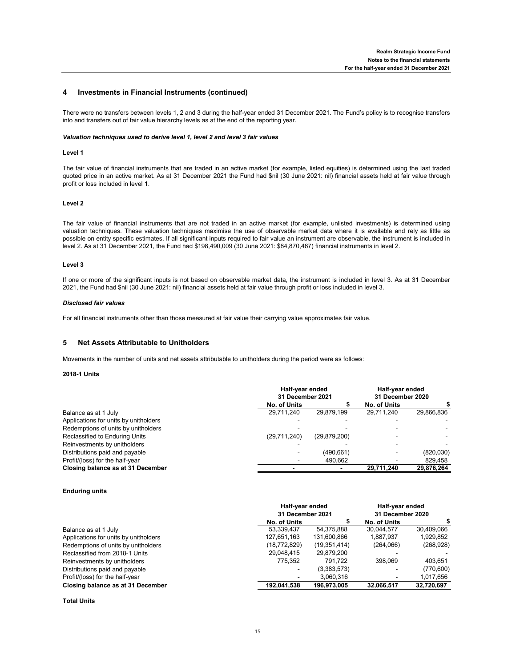#### **4 Investments in Financial Instruments (continued)**

There were no transfers between levels 1, 2 and 3 during the half-year ended 31 December 2021. The Fund's policy is to recognise transfers into and transfers out of fair value hierarchy levels as at the end of the reporting year.

#### *Valuation techniques used to derive level 1, level 2 and level 3 fair values*

#### **Level 1**

The fair value of financial instruments that are traded in an active market (for example, listed equities) is determined using the last traded quoted price in an active market. As at 31 December 2021 the Fund had \$nil (30 June 2021: nil) financial assets held at fair value through profit or loss included in level 1.

#### **Level 2**

The fair value of financial instruments that are not traded in an active market (for example, unlisted investments) is determined using valuation techniques. These valuation techniques maximise the use of observable market data where it is available and rely as little as possible on entity specific estimates. If all significant inputs required to fair value an instrument are observable, the instrument is included in level 2. As at 31 December 2021, the Fund had \$198,490,009 (30 June 2021: \$84,870,467) financial instruments in level 2.

#### **Level 3**

If one or more of the significant inputs is not based on observable market data, the instrument is included in level 3. As at 31 December 2021, the Fund had \$nil (30 June 2021: nil) financial assets held at fair value through profit or loss included in level 3.

#### *Disclosed fair values*

For all financial instruments other than those measured at fair value their carrying value approximates fair value.

#### **5 Net Assets Attributable to Unitholders**

Movements in the number of units and net assets attributable to unitholders during the period were as follows:

#### **2018-1 Units**

|                                       |              | Half-year ended<br>31 December 2021 |                          | Half-year ended<br>31 December 2020 |
|---------------------------------------|--------------|-------------------------------------|--------------------------|-------------------------------------|
|                                       | No. of Units |                                     | No. of Units             |                                     |
| Balance as at 1 July                  | 29.711.240   | 29.879.199                          | 29.711.240               | 29,866,836                          |
| Applications for units by unitholders |              |                                     |                          |                                     |
| Redemptions of units by unitholders   |              |                                     |                          |                                     |
| Reclassified to Enduring Units        | (29,711,240) | (29, 879, 200)                      |                          |                                     |
| Reinvestments by unitholders          |              |                                     |                          |                                     |
| Distributions paid and payable        |              | (490.661)                           |                          | (820,030)                           |
| Profit/(loss) for the half-year       |              | 490.662                             | $\overline{\phantom{0}}$ | 829.458                             |
| Closing balance as at 31 December     |              |                                     | 29.711.240               | 29.876.264                          |

#### **Enduring units**

|                                       | Half-year ended<br>31 December 2021 |                | Half-year ended<br>31 December 2020 |            |
|---------------------------------------|-------------------------------------|----------------|-------------------------------------|------------|
|                                       |                                     |                |                                     |            |
|                                       | No. of Units                        |                | No. of Units                        |            |
| Balance as at 1 July                  | 53,339,437                          | 54,375,888     | 30,044,577                          | 30,409,066 |
| Applications for units by unitholders | 127,651,163                         | 131,600,866    | 1.887.937                           | 1,929,852  |
| Redemptions of units by unitholders   | (18, 772, 829)                      | (19, 351, 414) | (264,066)                           | (268, 928) |
| Reclassified from 2018-1 Units        | 29,048,415                          | 29,879,200     |                                     |            |
| Reinvestments by unitholders          | 775.352                             | 791.722        | 398.069                             | 403,651    |
| Distributions paid and payable        | $\overline{\phantom{a}}$            | (3,383,573)    |                                     | (770, 600) |
| Profit/(loss) for the half-year       |                                     | 3,060,316      | -                                   | 1,017,656  |
| Closing balance as at 31 December     | 192,041,538                         | 196,973,005    | 32,066,517                          | 32,720,697 |
|                                       |                                     |                |                                     |            |

#### **Total Units**